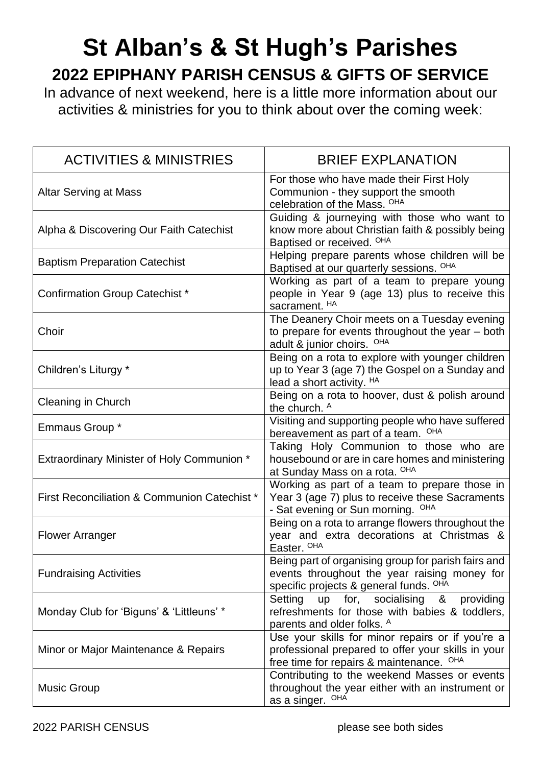## **St Alban's & St Hugh's Parishes 2022 EPIPHANY PARISH CENSUS & GIFTS OF SERVICE**

In advance of next weekend, here is a little more information about our activities & ministries for you to think about over the coming week:

| <b>ACTIVITIES &amp; MINISTRIES</b>                | <b>BRIEF EXPLANATION</b>                                                                                                                                      |
|---------------------------------------------------|---------------------------------------------------------------------------------------------------------------------------------------------------------------|
| <b>Altar Serving at Mass</b>                      | For those who have made their First Holy<br>Communion - they support the smooth<br>celebration of the Mass. <sup>OHA</sup>                                    |
| Alpha & Discovering Our Faith Catechist           | Guiding & journeying with those who want to<br>know more about Christian faith & possibly being<br>Baptised or received. OHA                                  |
| <b>Baptism Preparation Catechist</b>              | Helping prepare parents whose children will be<br>Baptised at our quarterly sessions. <sup>OHA</sup>                                                          |
| <b>Confirmation Group Catechist *</b>             | Working as part of a team to prepare young<br>people in Year 9 (age 13) plus to receive this<br>sacrament. HA                                                 |
| Choir                                             | The Deanery Choir meets on a Tuesday evening<br>to prepare for events throughout the year - both<br>adult & junior choirs.<br>OHA                             |
| Children's Liturgy *                              | Being on a rota to explore with younger children<br>up to Year 3 (age 7) the Gospel on a Sunday and<br>lead a short activity. HA                              |
| <b>Cleaning in Church</b>                         | Being on a rota to hoover, dust & polish around<br>the church. A                                                                                              |
| Emmaus Group *                                    | Visiting and supporting people who have suffered<br>bereavement as part of a team. OHA                                                                        |
| <b>Extraordinary Minister of Holy Communion *</b> | Taking Holy Communion to those who are<br>housebound or are in care homes and ministering<br>at Sunday Mass on a rota. OHA                                    |
| First Reconciliation & Communion Catechist *      | Working as part of a team to prepare those in<br>Year 3 (age 7) plus to receive these Sacraments<br>- Sat evening or Sun morning. <sup>OHA</sup>              |
| <b>Flower Arranger</b>                            | Being on a rota to arrange flowers throughout the<br>year and extra decorations at Christmas &<br>Easter. <sup>OHA</sup>                                      |
| <b>Fundraising Activities</b>                     | Being part of organising group for parish fairs and<br>events throughout the year raising money for<br>specific projects & general funds. <sup>OHA</sup>      |
| Monday Club for 'Biguns' & 'Littleuns' *          | Setting<br>for,<br>socialising<br><b>up</b><br>providing<br>&<br>refreshments for those with babies & toddlers,<br>parents and older folks. A                 |
| Minor or Major Maintenance & Repairs              | Use your skills for minor repairs or if you're a<br>professional prepared to offer your skills in your<br>free time for repairs & maintenance. <sup>OHA</sup> |
| <b>Music Group</b>                                | Contributing to the weekend Masses or events<br>throughout the year either with an instrument or<br>as a singer. OHA                                          |